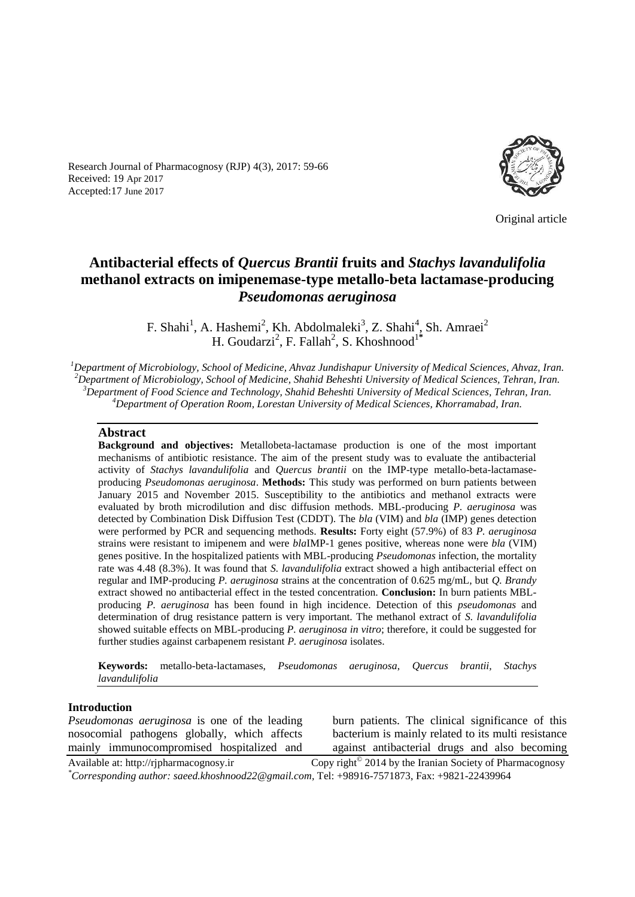

Original article

# **Antibacterial effects of** *Quercus Brantii* **fruits and** *Stachys lavandulifolia* **methanol extracts on imipenemase-type metallo-beta lactamase-producing**  *Pseudomonas aeruginosa*

F. Shahi<sup>1</sup>, A. Hashemi<sup>2</sup>, Kh. Abdolmaleki<sup>3</sup>, Z. Shahi<sup>4</sup>, Sh. Amraei<sup>2</sup> H. Goudarzi<sup>2</sup>, F. Fallah<sup>2</sup>, S. Khoshnood<sup>1\*</sup>

*Department of Microbiology, School of Medicine, Ahvaz Jundishapur University of Medical Sciences, Ahvaz, Iran. Department of Microbiology, School of Medicine, Shahid Beheshti University of Medical Sciences, Tehran, Iran. Department of Food Science and Technology, Shahid Beheshti University of Medical Sciences, Tehran, Iran. Department of Operation Room, Lorestan University of Medical Sciences, Khorramabad, Iran.*

#### **Abstract**

Received: 19 Apr 2017 Accepted:17 June 2017

Research Journal of Pharmacognosy (RJP) 4(3), 2017: 59-66

**Background and objectives:** Metallobeta-lactamase production is one of the most important mechanisms of antibiotic resistance. The aim of the present study was to evaluate the antibacterial activity of *Stachys lavandulifolia* and *Quercus brantii* on the IMP-type metallo-beta-lactamaseproducing *Pseudomonas aeruginosa*. **Methods:** This study was performed on burn patients between January 2015 and November 2015. Susceptibility to the antibiotics and methanol extracts were evaluated by broth microdilution and disc diffusion methods. MBL-producing *P. aeruginosa* was detected by Combination Disk Diffusion Test (CDDT). The *bla* (VIM) and *bla* (IMP) genes detection were performed by PCR and sequencing methods. **Results:** Forty eight (57.9%) of 83 *P. aeruginosa*  strains were resistant to imipenem and were *bla*IMP-1 genes positive, whereas none were *bla* (VIM) genes positive. In the hospitalized patients with MBL-producing *Pseudomonas* infection, the mortality rate was 4.48 (8.3%). It was found that *S. lavandulifolia* extract showed a high antibacterial effect on regular and IMP-producing *P. aeruginosa* strains at the concentration of 0.625 mg/mL, but *Q. Brandy* extract showed no antibacterial effect in the tested concentration. **Conclusion:** In burn patients MBLproducing *P. aeruginosa* has been found in high incidence. Detection of this *pseudomonas* and determination of drug resistance pattern is very important. The methanol extract of *S. lavandulifolia* showed suitable effects on MBL-producing *P. aeruginosa in vitro*; therefore, it could be suggested for further studies against carbapenem resistant *P. aeruginosa* isolates.

**Keywords:** metallo-beta-lactamases, *Pseudomonas aeruginosa*, *Quercus brantii, Stachys lavandulifolia*

#### **Introduction**

*Pseudomonas aeruginosa* is one of the leading nosocomial pathogens globally, which affects mainly immunocompromised hospitalized and

burn patients. The clinical significance of this bacterium is mainly related to its multi resistance against antibacterial drugs and also becoming

Available at: http://rjpharmacognosy.ir 2014 by the Iranian Society of Pharmacognosy *\*Corresponding author: saeed.khoshnood22@gmail.com,* Tel: +98916-7571873, Fax: +9821-22439964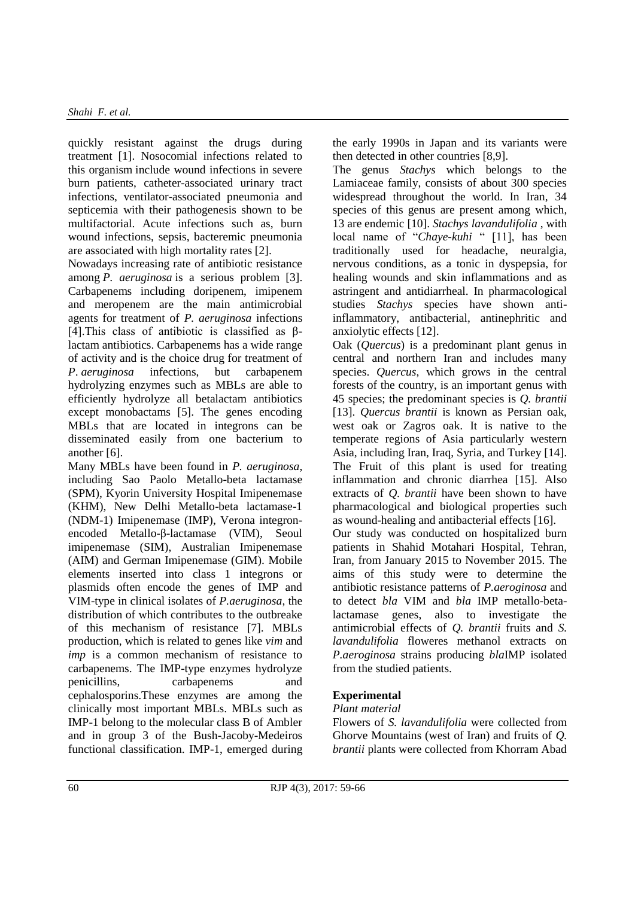quickly resistant against the drugs during treatment [1]. Nosocomial infections related to this organism include wound infections in severe burn patients, catheter-associated urinary tract infections, ventilator-associated pneumonia and septicemia with their pathogenesis shown to be multifactorial. Acute infections such as, burn wound infections, sepsis, bacteremic pneumonia are associated with high mortality rates [2].

Nowadays increasing rate of antibiotic resistance among *P. aeruginosa* is a serious problem [3]. Carbapenems including doripenem, imipenem and meropenem are the main antimicrobial agents for treatment of *P. aeruginosa* infections [4].This class of antibiotic is classified as βlactam antibiotics. Carbapenems has a wide range of activity and is the choice drug for treatment of *P*. *aeruginosa* infections, but carbapenem hydrolyzing enzymes such as MBLs are able to efficiently hydrolyze all betalactam antibiotics except monobactams [5]. The genes encoding MBLs that are located in integrons can be disseminated easily from one bacterium to another [6].

Many MBLs have been found in *P. aeruginosa*, including Sao Paolo Metallo-beta lactamase (SPM), Kyorin University Hospital Imipenemase (KHM), New Delhi Metallo-beta lactamase-1 (NDM-1) Imipenemase (IMP), Verona integronencoded Metallo-β-lactamase (VIM), Seoul imipenemase (SIM), Australian Imipenemase (AIM) and German Imipenemase (GIM). Mobile elements inserted into class 1 integrons or plasmids often encode the genes of IMP and VIM-type in clinical isolates of *P.aeruginosa*, the distribution of which contributes to the outbreake of this mechanism of resistance [7]. MBLs production, which is related to genes like *vim* and *imp* is a common mechanism of resistance to carbapenems. The IMP-type enzymes hydrolyze penicillins, carbapenems and cephalosporins.These enzymes are among the clinically most important MBLs. MBLs such as IMP-1 belong to the molecular class B of Ambler and in group 3 of the Bush-Jacoby-Medeiros functional classification. IMP-1, emerged during the early 1990s in Japan and its variants were then detected in other countries [8,9].

The genus *Stachys* which belongs to the Lamiaceae family, consists of about 300 species widespread throughout the world. In Iran, 34 species of this genus are present among which, 13 are endemic [10]. *Stachys lavandulifolia* , with local name of "*Chaye-kuhi* " [11], has been traditionally used for headache, neuralgia, nervous conditions, as a tonic in dyspepsia, for healing wounds and skin inflammations and as astringent and antidiarrheal. In pharmacological studies *Stachys* species have shown antiinflammatory, antibacterial, antinephritic and anxiolytic effects [12].

Oak (*Quercus*) is a predominant plant genus in central and northern Iran and includes many species. *Quercus*, which grows in the central forests of the country, is an important genus with 45 species; the predominant species is *Q. brantii* [13]. *Quercus brantii* is known as Persian oak, west oak or Zagros oak. It is native to the temperate regions of Asia particularly western Asia, including Iran, Iraq, Syria, and Turkey [14]. The Fruit of this plant is used for treating inflammation and chronic diarrhea [15]. Also extracts of *Q. brantii* have been shown to have pharmacological and biological properties such as wound-healing and antibacterial effects [16].

Our study was conducted on hospitalized burn patients in Shahid Motahari Hospital, Tehran, Iran, from January 2015 to November 2015. The aims of this study were to determine the antibiotic resistance patterns of *P.aeroginosa* and to detect *bla* VIM and *bla* IMP metallo-betalactamase genes, also to investigate the antimicrobial effects of *Q. brantii* fruits and *S. lavandulifolia* floweres methanol extracts on *P.aeroginosa* strains producing *bla*IMP isolated from the studied patients.

# **Experimental**

### *Plant material*

Flowers of *S. lavandulifolia* were collected from Ghorve Mountains (west of Iran) and fruits of *Q. brantii* plants were collected from Khorram Abad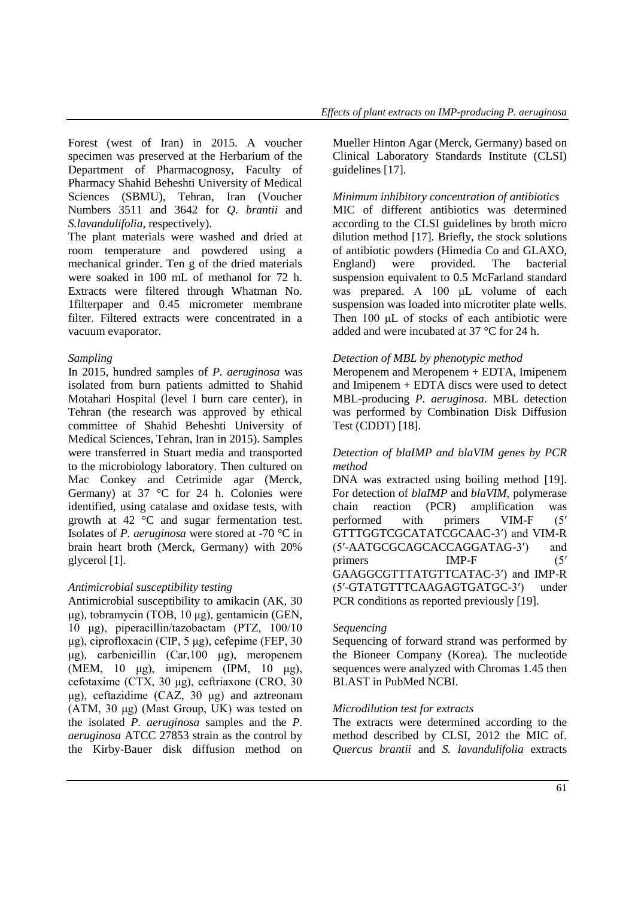Forest (west of Iran) in 2015. A voucher specimen was preserved at the Herbarium of the Department of Pharmacognosy, Faculty of Pharmacy Shahid Beheshti University of Medical Sciences (SBMU), Tehran, Iran (Voucher Numbers 3511 and 3642 for *Q. brantii* and *S.lavandulifolia,* respectively).

The plant materials were washed and dried at room temperature and powdered using a mechanical grinder. Ten g of the dried materials were soaked in 100 mL of methanol for 72 h. Extracts were filtered through Whatman No. 1filterpaper and 0.45 micrometer membrane filter. Filtered extracts were concentrated in a vacuum evaporator.

### *Sampling*

In 2015, hundred samples of *P. aeruginosa* was isolated from burn patients admitted to Shahid Motahari Hospital (level I burn care center), in Tehran (the research was approved by ethical committee of Shahid Beheshti University of Medical Sciences, Tehran, Iran in 2015). Samples were transferred in Stuart media and transported to the microbiology laboratory. Then cultured on Mac Conkey and Cetrimide agar (Merck, Germany) at 37 °C for 24 h. Colonies were identified, using catalase and oxidase tests, with growth at 42 °C and sugar fermentation test. Isolates of *P. aeruginosa* were stored at -70 °C in brain heart broth (Merck, Germany) with 20% glycerol [1].

### *Antimicrobial susceptibility testing*

Antimicrobial susceptibility to amikacin (AK, 30 μg), tobramycin (TOB, 10 μg), gentamicin (GEN, 10 μg), piperacillin/tazobactam (PTZ, 100/10 μg), ciprofloxacin (CIP, 5 μg), cefepime (FEP, 30 μg), carbenicillin (Car,100 μg), meropenem (MEM, 10 μg), imipenem (IPM, 10 μg), cefotaxime (CTX, 30 μg), ceftriaxone (CRO, 30 μg), ceftazidime (CAZ, 30 μg) and aztreonam (ATM, 30 μg) (Mast Group, UK) was tested on the isolated *P. aeruginosa* samples and the *P. aeruginosa* ATCC 27853 strain as the control by the Kirby-Bauer disk diffusion method on Mueller Hinton Agar (Merck, Germany) based on Clinical Laboratory Standards Institute (CLSI) guidelines [17].

## *Minimum inhibitory concentration of antibiotics*

MIC of different antibiotics was determined according to the CLSI guidelines by broth micro dilution method [17]. Briefly, the stock solutions of antibiotic powders (Himedia Co and GLAXO, England) were provided. The bacterial suspension equivalent to 0.5 McFarland standard was prepared. A 100 μL volume of each suspension was loaded into microtiter plate wells. Then 100 μL of stocks of each antibiotic were added and were incubated at 37 °C for 24 h.

### *Detection of MBL by phenotypic method*

Meropenem and Meropenem + EDTA, Imipenem and Imipenem + EDTA discs were used to detect MBL-producing *P. aeruginosa*. MBL detection was performed by Combination Disk Diffusion Test (CDDT) [18].

### *Detection of blaIMP and blaVIM genes by PCR method*

DNA was extracted using boiling method [19]. For detection of *blaIMP* and *blaVIM*, polymerase chain reaction (PCR) amplification was performed with primers VIM-F (5′ GTTTGGTCGCATATCGCAAC-3′) and VIM-R (5′-AATGCGCAGCACCAGGATAG-3′) and primers IMP-F (5' GAAGGCGTTTATGTTCATAC-3′) and IMP-R (5′-GTATGTTTCAAGAGTGATGC-3′) under PCR conditions as reported previously [19].

### *Sequencing*

Sequencing of forward strand was performed by the Bioneer Company (Korea). The nucleotide sequences were analyzed with Chromas 1.45 then BLAST in PubMed NCBI.

### *Microdilution test for extracts*

The extracts were determined according to the method described by CLSI, 2012 the MIC of. *Quercus brantii* and *S. lavandulifolia* extracts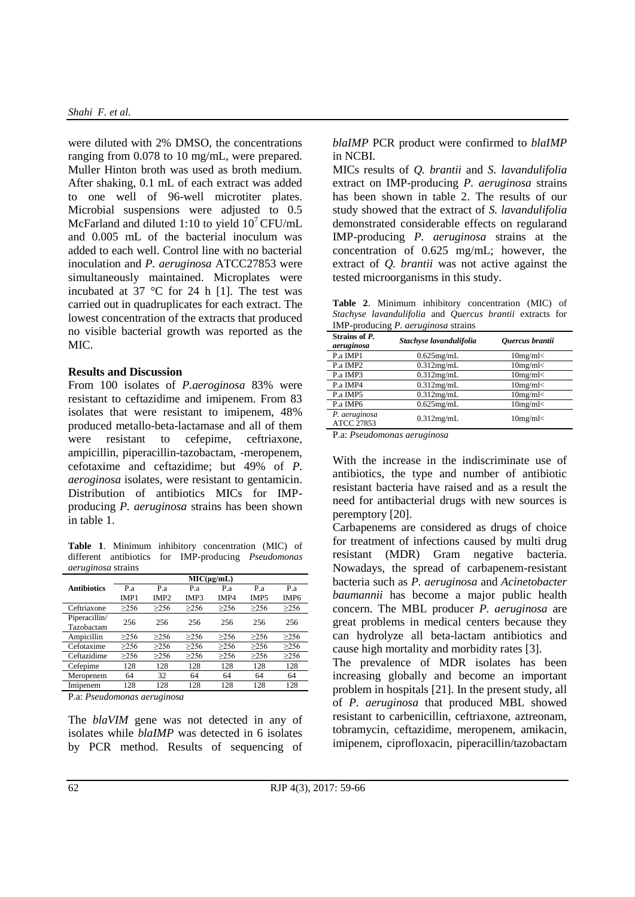were diluted with 2% DMSO, the concentrations ranging from 0.078 to 10 mg/mL, were prepared. Muller Hinton broth was used as broth medium. After shaking, 0.1 mL of each extract was added to one well of 96-well microtiter plates. Microbial suspensions were adjusted to 0.5 McFarland and diluted 1:10 to yield  $10^7$  CFU/mL and 0.005 mL of the bacterial inoculum was added to each well. Control line with no bacterial inoculation and *P. aeruginosa* ATCC27853 were simultaneously maintained. Microplates were incubated at 37 °C for 24 h [1]. The test was carried out in quadruplicates for each extract. The lowest concentration of the extracts that produced no visible bacterial growth was reported as the MIC.

### **Results and Discussion**

From 100 isolates of *P.aeroginosa* 83% were resistant to ceftazidime and imipenem. From 83 isolates that were resistant to imipenem, 48% produced metallo-beta-lactamase and all of them were resistant to cefepime, ceftriaxone, ampicillin, piperacillin-tazobactam, -meropenem, cefotaxime and ceftazidime; but 49% of *P. aeroginosa* isolates, were resistant to gentamicin. Distribution of antibiotics MICs for IMPproducing *P. aeruginosa* strains has been shown in table 1.

**Table 1**. Minimum inhibitory concentration (MIC) of different antibiotics for IMP-producing *Pseudomonas aeruginosa* strains

|                    | $MIC(\mu g/mL)$ |                  |            |      |                  |                  |
|--------------------|-----------------|------------------|------------|------|------------------|------------------|
| <b>Antibiotics</b> | P <sub>a</sub>  | P.a              | P.a        | P.a  | P.a              | P.a              |
|                    | IMP1            | IMP <sub>2</sub> | IMP3       | IMP4 | IMP <sub>5</sub> | IMP <sub>6</sub> |
| Ceftriaxone        | >256            | >256             | $\geq$ 256 | >256 | >256             | $\geq$ 256       |
| Piperacillin/      | 256             | 256              | 256        | 256  | 256              | 256              |
| Tazobactam         |                 |                  |            |      |                  |                  |
| Ampicillin         | >256            | >256             | >256       | >256 | >256             | >256             |
| Cefotaxime         | >256            | >256             | >256       | >256 | >256             | >256             |
| Ceftazidime        | >256            | >256             | >256       | >256 | >256             | >256             |
| Cefepime           | 128             | 128              | 128        | 128  | 128              | 128              |
| Meropenem          | 64              | 32               | 64         | 64   | 64               | 64               |
| Imipenem           | 128             | 128              | 128        | 128  | 128              | 128              |

P.a: *Pseudomonas aeruginosa*

The *blaVIM* gene was not detected in any of isolates while *blaIMP* was detected in 6 isolates by PCR method. Results of sequencing of *blaIMP* PCR product were confirmed to *blaIMP* in NCBI.

MICs results of *Q. brantii* and *S. lavandulifolia* extract on IMP-producing *P. aeruginosa* strains has been shown in table 2. The results of our study showed that the extract of *S. lavandulifolia* demonstrated considerable effects on regularand IMP-producing *P. aeruginosa* strains at the concentration of 0.625 mg/mL; however, the extract of *Q. brantii* was not active against the tested microorganisms in this study.

**Table 2**. Minimum inhibitory concentration (MIC) of *Stachyse lavandulifolia* and *Quercus brantii* extracts for IMP-producing *P. aeruginosa* strains

| Strains of P.<br>aeruginosa | Stachyse lavandulifolia | Ouercus brantii |
|-----------------------------|-------------------------|-----------------|
| P.a IMP1                    | $0.625$ mg/mL           | 10mg/ml <       |
| P.a IMP2                    | $0.312$ mg/mL           | 10mg/ml <       |
| P.a IMP3                    | $0.312$ mg/mL           | 10mg/ml <       |
| P.a IMP4                    | $0.312$ mg/mL           | 10mg/ml <       |
| P.a IMP5                    | $0.312$ mg/mL           | 10mg/ml <       |
| P.a IMP6                    | $0.625$ mg/mL           | 10mg/ml <       |
| P. aeruginosa<br>ATCC 27853 | 0.312mg/mL              | 10mg/ml <       |

P.a: *Pseudomonas aeruginosa*

With the increase in the indiscriminate use of antibiotics, the type and number of antibiotic resistant bacteria have raised and as a result the need for antibacterial drugs with new sources is peremptory [20].

Carbapenems are considered as drugs of choice for treatment of infections caused by multi drug resistant (MDR) Gram negative bacteria. Nowadays, the spread of carbapenem-resistant bacteria such as *P. aeruginosa* and *Acinetobacter baumannii* has become a major public health concern. The MBL producer *P. aeruginosa* are great problems in medical centers because they can hydrolyze all beta-lactam antibiotics and cause high mortality and morbidity rates [3].

The prevalence of MDR isolates has been increasing globally and become an important problem in hospitals [21]. In the present study, all of *P. aeruginosa* that produced MBL showed resistant to carbenicillin, ceftriaxone, aztreonam, tobramycin, ceftazidime, meropenem, amikacin, imipenem, ciprofloxacin, piperacillin/tazobactam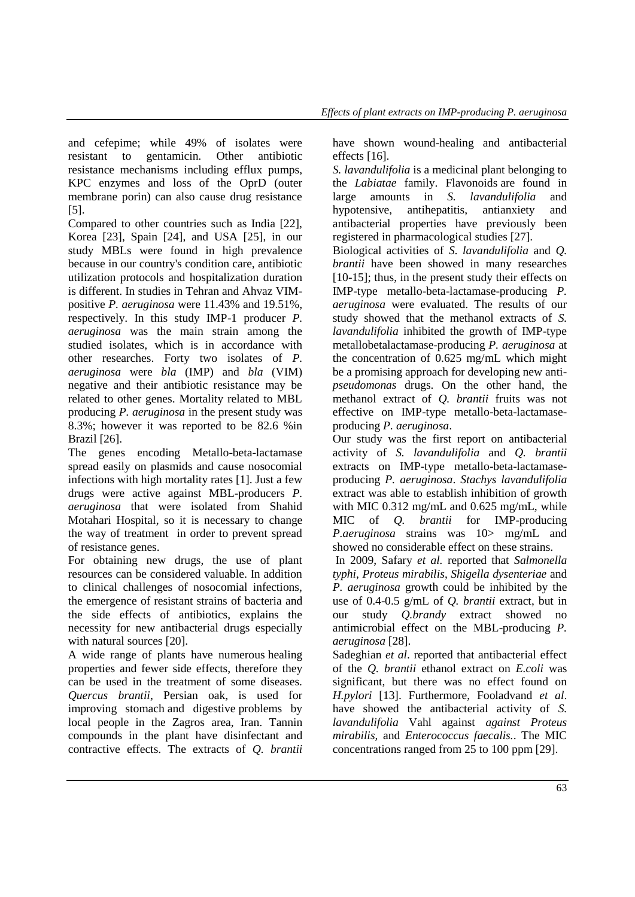and cefepime; while 49% of isolates were resistant to gentamicin. Other antibiotic resistance mechanisms including efflux pumps, KPC enzymes and loss of the OprD (outer membrane porin) can also cause drug resistance [5].

Compared to other countries such as India [22], Korea [23], Spain [24], and USA [25], in our study MBLs were found in high prevalence because in our country's condition care, antibiotic utilization protocols and hospitalization duration is different. In studies in Tehran and Ahvaz VIMpositive *P. aeruginosa* were 11.43% and 19.51%, respectively. In this study IMP-1 producer *P. aeruginosa* was the main strain among the studied isolates, which is in accordance with other researches. Forty two isolates of *P. aeruginosa* were *bla* (IMP) and *bla* (VIM) negative and their antibiotic resistance may be related to other genes. Mortality related to MBL producing *P. aeruginosa* in the present study was 8.3%; however it was reported to be 82.6 %in Brazil [26].

The genes encoding Metallo-beta-lactamase spread easily on plasmids and cause nosocomial infections with high mortality rates [1]. Just a few drugs were active against MBL-producers *P. aeruginosa* that were isolated from Shahid Motahari Hospital, so it is necessary to change the way of treatment in order to prevent spread of resistance genes.

For obtaining new drugs, the use of plant resources can be considered valuable. In addition to clinical challenges of nosocomial infections, the emergence of resistant strains of bacteria and the side effects of antibiotics, explains the necessity for new antibacterial drugs especially with natural sources [20].

A wide range of plants have numerous healing properties and fewer side effects, therefore they can be used in the treatment of some diseases. *Quercus brantii*, Persian oak, is used for improving stomach and digestive problems by local people in the Zagros area, Iran. Tannin compounds in the plant have disinfectant and contractive effects. The extracts of *Q. brantii* have shown wound-healing and antibacterial effects [16].

*S. lavandulifolia* is a medicinal plant belonging to the *Labiatae* family. Flavonoids are found in large amounts in *S. lavandulifolia* and hypotensive, antihepatitis, antianxiety and antibacterial properties have previously been registered in pharmacological studies [27].

Biological activities of *S. lavandulifolia* and *Q. brantii* have been showed in many researches [10-15]; thus, in the present study their effects on IMP-type metallo-beta-lactamase-producing *P. aeruginosa* were evaluated. The results of our study showed that the methanol extracts of *S. lavandulifolia* inhibited the growth of IMP-type metallobetalactamase-producing *P. aeruginosa* at the concentration of 0.625 mg/mL which might be a promising approach for developing new anti*pseudomonas* drugs. On the other hand, the methanol extract of *Q. brantii* fruits was not effective on IMP-type metallo-beta-lactamaseproducing *P. aeruginosa*.

Our study was the first report on antibacterial activity of *S. lavandulifolia* and *Q. brantii* extracts on IMP-type metallo-beta-lactamaseproducing *P. aeruginosa*. *Stachys lavandulifolia* extract was able to establish inhibition of growth with MIC 0.312 mg/mL and 0.625 mg/mL, while MIC of *Q. brantii* for IMP-producing *P.aeruginosa* strains was 10> mg/mL and showed no considerable effect on these strains.

In 2009, Safary *et al.* reported that *Salmonella typhi*, *Proteus mirabilis*, *Shigella dysenteriae* and *P. aeruginosa* growth could be inhibited by the use of 0.4-0.5 g/mL of *Q. brantii* extract, but in our study *Q.brandy* extract showed no antimicrobial effect on the MBL-producing *P. aeruginosa* [28].

Sadeghian *et al*. reported that antibacterial effect of the *Q. brantii* ethanol extract on *E.coli* was significant, but there was no effect found on *H.pylori* [13]. Furthermore, Fooladvand *et al*. have showed the antibacterial activity of *S. lavandulifolia* Vahl against *against Proteus mirabilis,* and *Enterococcus faecalis.*. The MIC concentrations ranged from 25 to 100 ppm [29].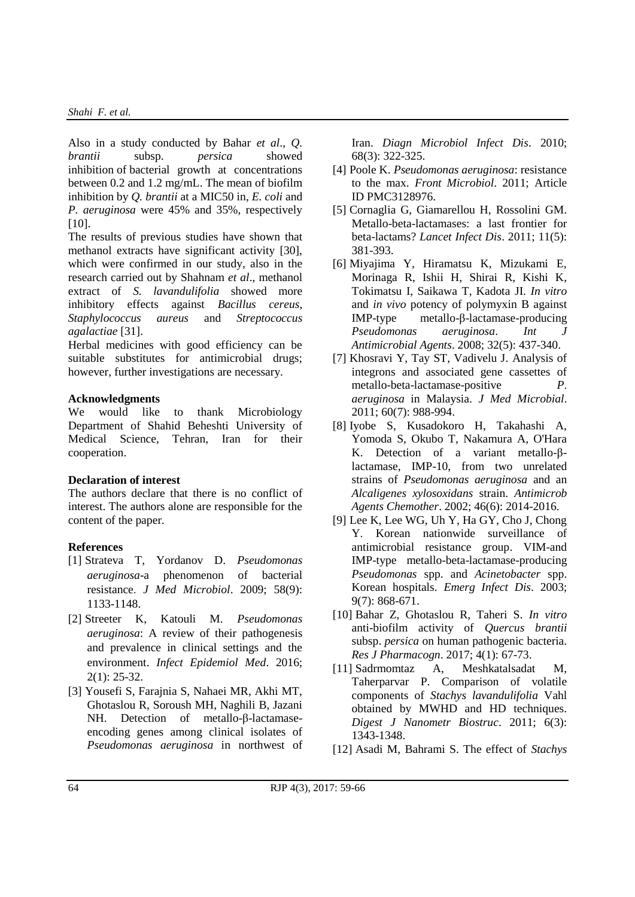Also in a study conducted by Bahar *et al*., *Q. brantii* subsp. *persica* showed inhibition of bacterial growth at concentrations between 0.2 and 1.2 mg/mL. The mean of biofilm inhibition by *Q. brantii* at a MIC50 in, *E. coli* and *P. aeruginosa* were 45% and 35%, respectively [10].

The results of previous studies have shown that methanol extracts have significant activity [30], which were confirmed in our study, also in the research carried out by Shahnam *et al*., methanol extract of *S. lavandulifolia* showed more inhibitory effects against *Bacillus cereus*, *Staphylococcus aureus* and *Streptococcus agalactiae* [31].

Herbal medicines with good efficiency can be suitable substitutes for antimicrobial drugs; however, further investigations are necessary.

### **Acknowledgments**

We would like to thank Microbiology Department of Shahid Beheshti University of Medical Science, Tehran, Iran for their cooperation.

### **Declaration of interest**

The authors declare that there is no conflict of interest. The authors alone are responsible for the content of the paper.

### **References**

- [1] Strateva T, Yordanov D. *Pseudomonas aeruginosa*-a phenomenon of bacterial resistance. *J Med Microbiol*. 2009; 58(9): 1133-1148.
- [2] Streeter K, Katouli M. *Pseudomonas aeruginosa*: A review of their pathogenesis and prevalence in clinical settings and the environment. *Infect Epidemiol Med*. 2016; 2(1): 25-32.
- [3] Yousefi S, Farajnia S, Nahaei MR, Akhi MT, Ghotaslou R, Soroush MH, Naghili B, Jazani NH. Detection of metallo-β-lactamaseencoding genes among clinical isolates of *Pseudomonas aeruginosa* in northwest of

Iran. *Diagn Microbiol Infect Dis*. 2010; 68(3): 322-325.

- [4] Poole K. *Pseudomonas aeruginosa*: resistance to the max. *Front Microbiol*. 2011; Article ID PMC3128976.
- [5] Cornaglia G, Giamarellou H, Rossolini GM. Metallo-beta-lactamases: a last frontier for beta-lactams? *Lancet Infect Dis*. 2011; 11(5): 381-393.
- [6] Miyajima Y, Hiramatsu K, Mizukami E, Morinaga R, Ishii H, Shirai R, Kishi K, Tokimatsu I, Saikawa T, Kadota JI. *In vitro* and *in vivo* potency of polymyxin B against IMP-type metallo-β-lactamase-producing *Pseudomonas aeruginosa*. *Int J Antimicrobial Agents*. 2008; 32(5): 437-340.
- [7] Khosravi Y, Tay ST, Vadivelu J. Analysis of integrons and associated gene cassettes of metallo-beta-lactamase-positive *P*. *aeruginosa* in Malaysia. *J Med Microbial*. 2011; 60(7): 988-994.
- [8] Iyobe S, Kusadokoro H, Takahashi A, Yomoda S, Okubo T, Nakamura A, O'Hara K. Detection of a variant metallo-βlactamase, IMP-10, from two unrelated strains of *Pseudomonas aeruginosa* and an *Alcaligenes xylosoxidans* strain. *Antimicrob Agents Chemother*. 2002; 46(6): 2014-2016.
- [9] Lee K, Lee WG, Uh Y, Ha GY, Cho J, Chong Y. Korean nationwide surveillance of antimicrobial resistance group. VIM-and IMP-type metallo-beta-lactamase-producing *Pseudomonas* spp. and *Acinetobacter* spp. Korean hospitals. *Emerg Infect Dis*. 2003; 9(7): 868-671.
- [10] Bahar Z, Ghotaslou R, Taheri S. *In vitro* anti-biofilm activity of *Quercus brantii* subsp. *persica* on human pathogenic bacteria. *Res J Pharmacogn*. 2017; 4(1): 67-73.
- [11] Sadrmomtaz A, Meshkatalsadat M, Taherparvar P. Comparison of volatile components of *Stachys lavandulifolia* Vahl obtained by MWHD and HD techniques. *Digest J Nanometr Biostruc*. 2011; 6(3): 1343-1348.
- [12] Asadi M, Bahrami S. The effect of *Stachys*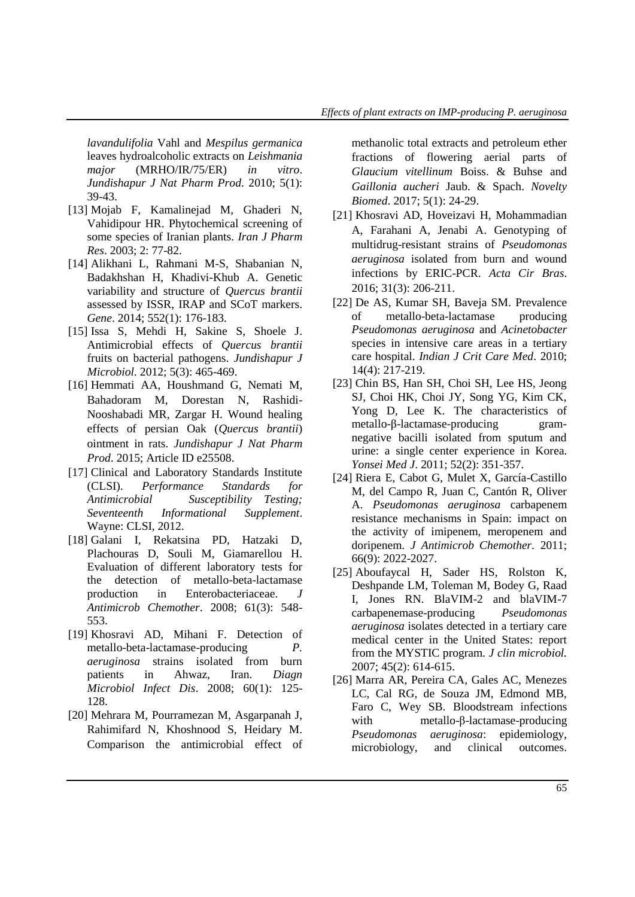*lavandulifolia* Vahl and *Mespilus germanica* leaves hydroalcoholic extracts on *Leishmania major* (MRHO/IR/75/ER) *in vitro*. *Jundishapur J Nat Pharm Prod*. 2010; 5(1): 39-43.

- [13] Mojab F, Kamalinejad M, Ghaderi N, Vahidipour HR. Phytochemical screening of some species of Iranian plants. *Iran J Pharm Res*. 2003; 2: 77-82.
- [14] Alikhani L, Rahmani M-S, Shabanian N, Badakhshan H, Khadivi-Khub A. Genetic variability and structure of *Quercus brantii* assessed by ISSR, IRAP and SCoT markers. *Gene*. 2014; 552(1): 176-183.
- [15] Issa S, Mehdi H, Sakine S, Shoele J. Antimicrobial effects of *Quercus brantii* fruits on bacterial pathogens. *Jundishapur J Microbiol.* 2012; 5(3): 465-469.
- [16] Hemmati AA, Houshmand G, Nemati M, Bahadoram M, Dorestan N, Rashidi-Nooshabadi MR, Zargar H. Wound healing effects of persian Oak (*Quercus brantii*) ointment in rats. *Jundishapur J Nat Pharm Prod*. 2015; Article ID e25508.
- [17] Clinical and Laboratory Standards Institute (CLSI). *Performance Standards for Antimicrobial Susceptibility Testing; Seventeenth Informational Supplement*. Wayne: CLSI, 2012.
- [18] Galani I, Rekatsina PD, Hatzaki D, Plachouras D, Souli M, Giamarellou H. Evaluation of different laboratory tests for the detection of metallo-beta-lactamase production in Enterobacteriaceae. *J Antimicrob Chemother*. 2008; 61(3): 548- 553.
- [19] Khosravi AD, Mihani F. Detection of metallo-beta-lactamase-producing *P. aeruginosa* strains isolated from burn patients in Ahwaz, Iran. *Diagn Microbiol Infect Dis*. 2008; 60(1): 125- 128.
- [20] Mehrara M, Pourramezan M, Asgarpanah J, Rahimifard N, Khoshnood S, Heidary M. Comparison the antimicrobial effect of

methanolic total extracts and petroleum ether fractions of flowering aerial parts of *Glaucium vitellinum* Boiss. & Buhse and *Gaillonia aucheri* Jaub. & Spach. *Novelty Biomed*. 2017; 5(1): 24-29.

- [21] Khosravi AD, Hoveizavi H, Mohammadian A, Farahani A, Jenabi A. Genotyping of multidrug-resistant strains of *Pseudomonas aeruginosa* isolated from burn and wound infections by ERIC-PCR. *Acta Cir Bras*. 2016; 31(3): 206-211.
- [22] De AS, Kumar SH, Baveja SM. Prevalence of metallo-beta-lactamase producing *Pseudomonas aeruginosa* and *Acinetobacter* species in intensive care areas in a tertiary care hospital. *Indian J Crit Care Med*. 2010; 14(4): 217-219.
- [23] Chin BS, Han SH, Choi SH, Lee HS, Jeong SJ, Choi HK, Choi JY, Song YG, Kim CK, Yong D, Lee K. The characteristics of metallo-β-lactamase-producing gramnegative bacilli isolated from sputum and urine: a single center experience in Korea. *Yonsei Med J*. 2011; 52(2): 351-357.
- [24] Riera E, Cabot G, Mulet X, García-Castillo M, del Campo R, Juan C, Cantón R, Oliver A. *Pseudomonas aeruginosa* carbapenem resistance mechanisms in Spain: impact on the activity of imipenem, meropenem and doripenem. *J Antimicrob Chemother.* 2011; 66(9): 2022-2027.
- [25] Aboufaycal H, Sader HS, Rolston K, Deshpande LM, Toleman M, Bodey G, Raad I, Jones RN. BlaVIM-2 and blaVIM-7 carbapenemase-producing *Pseudomonas aeruginosa* isolates detected in a tertiary care medical center in the United States: report from the MYSTIC program. *J clin microbiol.* 2007; 45(2): 614-615.
- [26] Marra AR, Pereira CA, Gales AC, Menezes LC, Cal RG, de Souza JM, Edmond MB, Faro C, Wey SB. Bloodstream infections with metallo-β-lactamase-producing *Pseudomonas aeruginosa*: epidemiology, microbiology, and clinical outcomes.